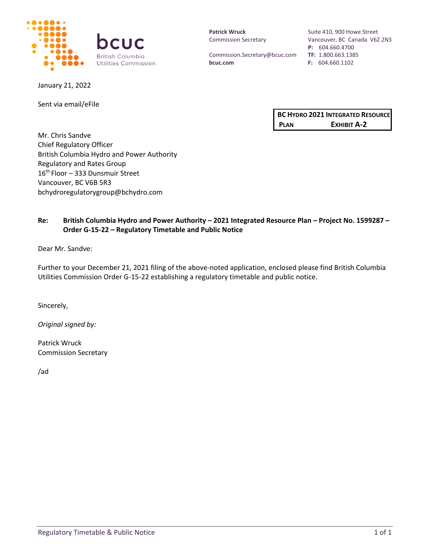

January 21, 2022

Sent via email/eFile

**Patrick Wruck** Commission Secretary

Commission.Secretary@bcuc.com **bcuc.com**

Suite 410, 900 Howe Street Vancouver, BC Canada V6Z 2N3 **P:** 604.660.4700 **TF:** 1.800.663.1385 **F:** 604.660.1102

| <b>BC HYDRO 2021 INTEGRATED RESOURCE</b> |             |
|------------------------------------------|-------------|
| <b>PLAN</b>                              | EXHIBIT A-2 |

Mr. Chris Sandve Chief Regulatory Officer British Columbia Hydro and Power Authority Regulatory and Rates Group 16<sup>th</sup> Floor – 333 Dunsmuir Street Vancouver, BC V6B 5R3 bchydroregulatorygroup@bchydro.com

## **Re: British Columbia Hydro and Power Authority – 2021 Integrated Resource Plan – Project No. 1599287 – Order G-15-22 – Regulatory Timetable and Public Notice**

Dear Mr. Sandve:

Further to your December 21, 2021 filing of the above-noted application, enclosed please find British Columbia Utilities Commission Order G-15-22 establishing a regulatory timetable and public notice.

Sincerely,

*Original signed by:*

Patrick Wruck Commission Secretary

/ad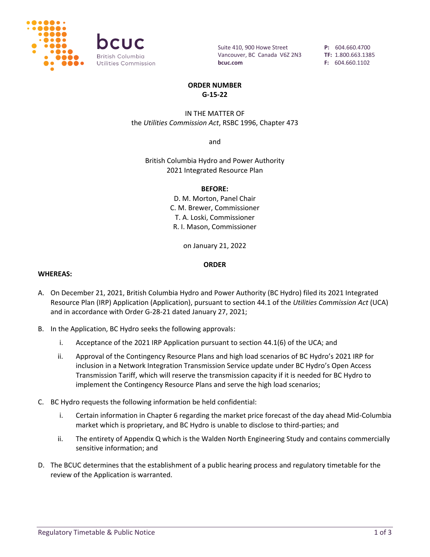

Suite 410, 900 Howe Street Vancouver, BC Canada V6Z 2N3 **bcuc.com**

**P:** 604.660.4700 **TF:** 1.800.663.1385 **F:** 604.660.1102

#### **ORDER NUMBER G-15-22**

### IN THE MATTER OF the *Utilities Commission Act*, RSBC 1996, Chapter 473

and

British Columbia Hydro and Power Authority 2021 Integrated Resource Plan

#### **BEFORE:**

D. M. Morton, Panel Chair C. M. Brewer, Commissioner T. A. Loski, Commissioner R. I. Mason, Commissioner

on January 21, 2022

#### **ORDER**

#### **WHEREAS:**

- A. On December 21, 2021, British Columbia Hydro and Power Authority (BC Hydro) filed its 2021 Integrated Resource Plan (IRP) Application (Application), pursuant to section 44.1 of the *Utilities Commission Act* (UCA) and in accordance with Order G-28-21 dated January 27, 2021;
- B. In the Application, BC Hydro seeks the following approvals:
	- i. Acceptance of the 2021 IRP Application pursuant to section 44.1(6) of the UCA; and
	- ii. Approval of the Contingency Resource Plans and high load scenarios of BC Hydro's 2021 IRP for inclusion in a Network Integration Transmission Service update under BC Hydro's Open Access Transmission Tariff, which will reserve the transmission capacity if it is needed for BC Hydro to implement the Contingency Resource Plans and serve the high load scenarios;
- C. BC Hydro requests the following information be held confidential:
	- i. Certain information in Chapter 6 regarding the market price forecast of the day ahead Mid-Columbia market which is proprietary, and BC Hydro is unable to disclose to third-parties; and
	- ii. The entirety of Appendix Q which is the Walden North Engineering Study and contains commercially sensitive information; and
- D. The BCUC determines that the establishment of a public hearing process and regulatory timetable for the review of the Application is warranted.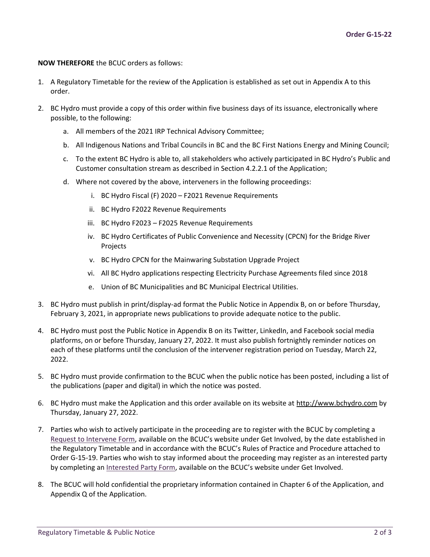#### **NOW THEREFORE** the BCUC orders as follows:

- 1. A Regulatory Timetable for the review of the Application is established as set out in Appendix A to this order.
- 2. BC Hydro must provide a copy of this order within five business days of its issuance, electronically where possible, to the following:
	- a. All members of the 2021 IRP Technical Advisory Committee;
	- b. All Indigenous Nations and Tribal Councils in BC and the BC First Nations Energy and Mining Council;
	- c. To the extent BC Hydro is able to, all stakeholders who actively participated in BC Hydro's Public and Customer consultation stream as described in Section 4.2.2.1 of the Application;
	- d. Where not covered by the above, interveners in the following proceedings:
		- i. BC Hydro Fiscal (F) 2020 F2021 Revenue Requirements
		- ii. BC Hydro F2022 Revenue Requirements
		- iii. BC Hydro F2023 F2025 Revenue Requirements
		- iv. BC Hydro Certificates of Public Convenience and Necessity (CPCN) for the Bridge River Projects
		- v. BC Hydro CPCN for the Mainwaring Substation Upgrade Project
		- vi. All BC Hydro applications respecting Electricity Purchase Agreements filed since 2018
		- e. Union of BC Municipalities and BC Municipal Electrical Utilities.
- 3. BC Hydro must publish in print/display-ad format the Public Notice in Appendix B, on or before Thursday, February 3, 2021, in appropriate news publications to provide adequate notice to the public.
- 4. BC Hydro must post the Public Notice in Appendix B on its Twitter, LinkedIn, and Facebook social media platforms, on or before Thursday, January 27, 2022. It must also publish fortnightly reminder notices on each of these platforms until the conclusion of the intervener registration period on Tuesday, March 22, 2022.
- 5. BC Hydro must provide confirmation to the BCUC when the public notice has been posted, including a list of the publications (paper and digital) in which the notice was posted.
- 6. BC Hydro must make the Application and this order available on its website at [http://www.bchydro.com](http://www.bchydro.com/) by Thursday, January 27, 2022.
- 7. Parties who wish to actively participate in the proceeding are to register with the BCUC by completing a [Request to Intervene Form,](https://www.bcuc.com/forms/request-to-intervene.aspx) available on the BCUC's website under Get Involved, by the date established in the Regulatory Timetable and in accordance with the BCUC's Rules of Practice and Procedure attached to Order G-15-19. Parties who wish to stay informed about the proceeding may register as an interested party by completing an [Interested Party Form](https://www.bcuc.com/forms/InterestedParty), available on the BCUC's website under Get Involved.
- 8. The BCUC will hold confidential the proprietary information contained in Chapter 6 of the Application, and Appendix Q of the Application.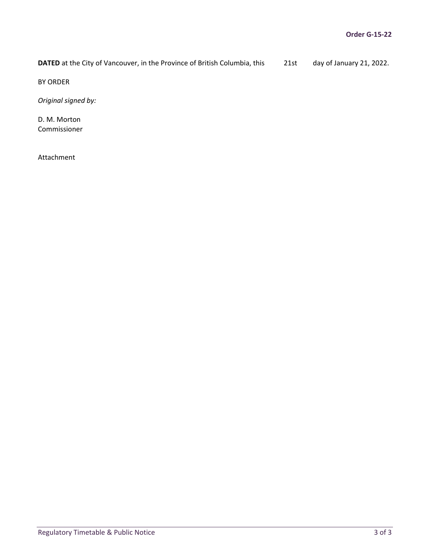**DATED** at the City of Vancouver, in the Province of British Columbia, this 21st day of January 21, 2022.

BY ORDER

*Original signed by:*

D. M. Morton Commissioner

Attachment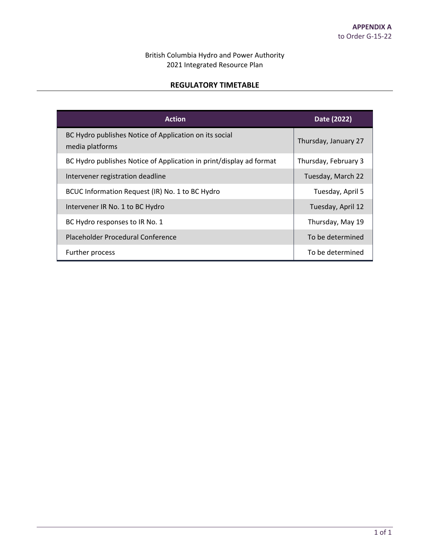# British Columbia Hydro and Power Authority 2021 Integrated Resource Plan

## **REGULATORY TIMETABLE**

| <b>Action</b>                                                             | Date (2022)          |
|---------------------------------------------------------------------------|----------------------|
| BC Hydro publishes Notice of Application on its social<br>media platforms | Thursday, January 27 |
| BC Hydro publishes Notice of Application in print/display ad format       | Thursday, February 3 |
| Intervener registration deadline                                          | Tuesday, March 22    |
| BCUC Information Request (IR) No. 1 to BC Hydro                           | Tuesday, April 5     |
| Intervener IR No. 1 to BC Hydro                                           | Tuesday, April 12    |
| BC Hydro responses to IR No. 1                                            | Thursday, May 19     |
| Placeholder Procedural Conference                                         | To be determined     |
| Further process                                                           | To be determined     |